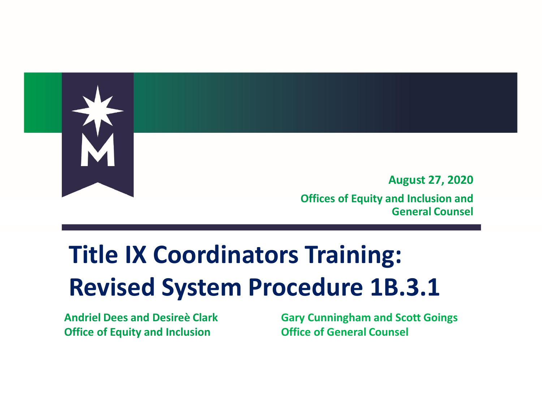

#### **Title IX Coordinators Training: Revised System Procedure 1B.3.1**

**Andriel Dees and Desireè Clark Office of Equity and Inclusion**

**Gary Cunningham and Scott Goings Office of General Counsel**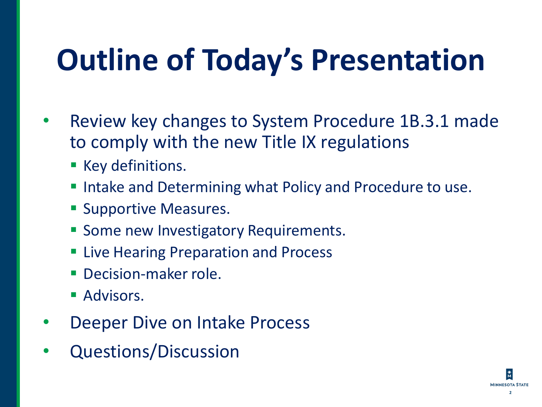# **Outline of Today's Presentation**

- Review key changes to System Procedure 1B.3.1 made to comply with the new Title IX regulations
	- **EXECTE Key definitions.**
	- Intake and Determining what Policy and Procedure to use.
	- **E** Supportive Measures.
	- **EX Some new Investigatory Requirements.**
	- **Example 21 Live Hearing Preparation and Process**
	- **Decision-maker role.**
	- **Advisors.**
- Deeper Dive on Intake Process
- Questions/Discussion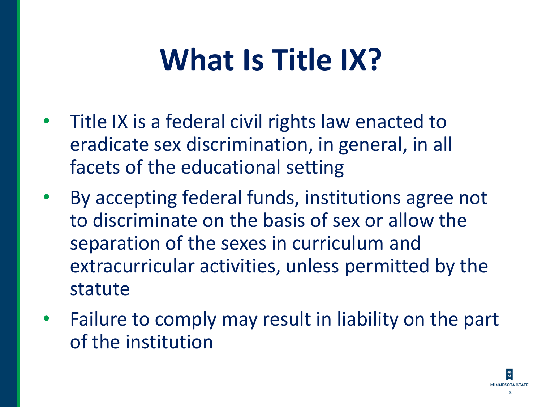#### **What Is Title IX?**

- Title IX is a federal civil rights law enacted to eradicate sex discrimination, in general, in all facets of the educational setting
- By accepting federal funds, institutions agree not to discriminate on the basis of sex or allow the separation of the sexes in curriculum and extracurricular activities, unless permitted by the statute
- Failure to comply may result in liability on the part of the institution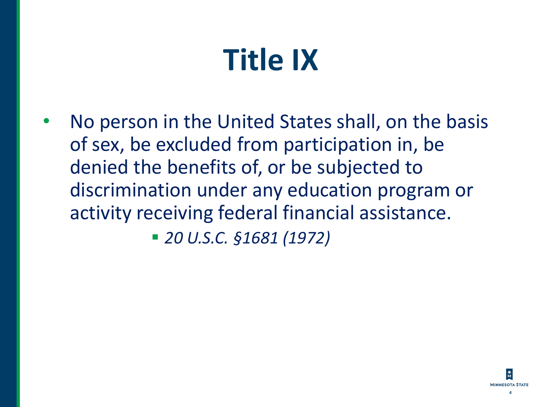## **Title IX**

• No person in the United States shall, on the basis of sex, be excluded from participation in, be denied the benefits of, or be subjected to discrimination under any education program or activity receiving federal financial assistance.

▪ *20 U.S.C. §1681 (1972)*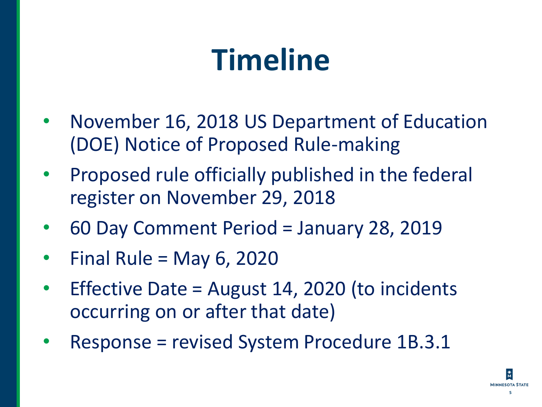#### **Timeline**

- November 16, 2018 US Department of Education (DOE) Notice of Proposed Rule-making
- Proposed rule officially published in the federal register on November 29, 2018
- 60 Day Comment Period = January 28, 2019
- Final Rule = May 6, 2020
- Effective Date = August 14, 2020 (to incidents occurring on or after that date)
- Response = revised System Procedure 1B.3.1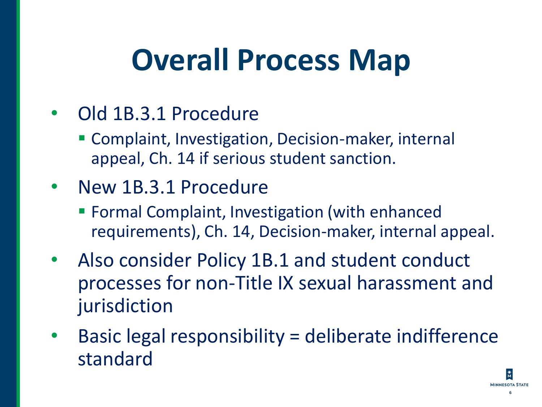#### **Overall Process Map**

- Old 1B.3.1 Procedure
	- **EX Complaint, Investigation, Decision-maker, internal** appeal, Ch. 14 if serious student sanction.
- New 1B.3.1 Procedure
	- **EXECT** Formal Complaint, Investigation (with enhanced requirements), Ch. 14, Decision-maker, internal appeal.
- Also consider Policy 1B.1 and student conduct processes for non-Title IX sexual harassment and jurisdiction
- Basic legal responsibility = deliberate indifference standard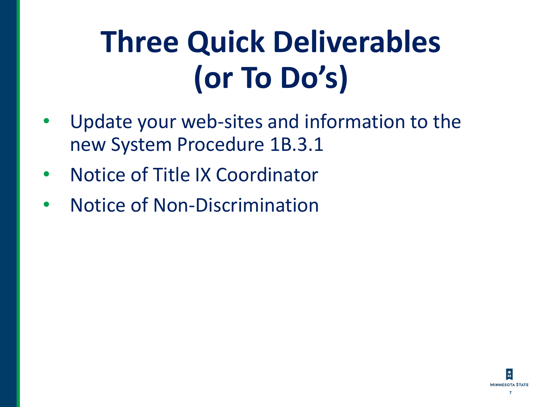# **Three Quick Deliverables (or To Do's)**

- Update your web-sites and information to the new System Procedure 1B.3.1
- Notice of Title IX Coordinator
- Notice of Non-Discrimination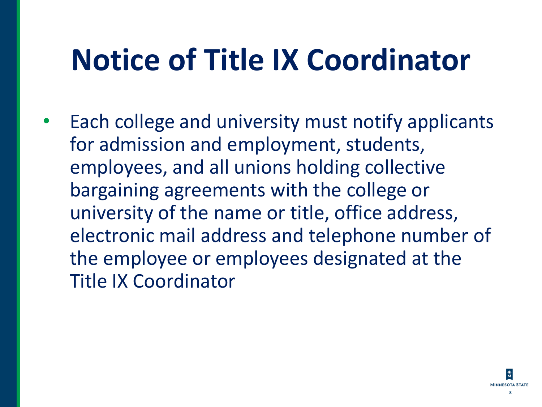#### **Notice of Title IX Coordinator**

Each college and university must notify applicants for admission and employment, students, employees, and all unions holding collective bargaining agreements with the college or university of the name or title, office address, electronic mail address and telephone number of the employee or employees designated at the Title IX Coordinator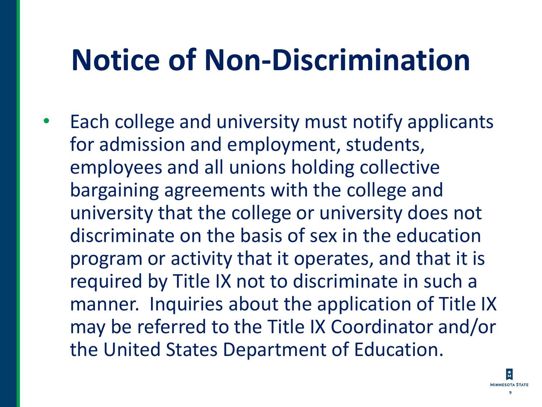#### **Notice of Non-Discrimination**

Each college and university must notify applicants for admission and employment, students, employees and all unions holding collective bargaining agreements with the college and university that the college or university does not discriminate on the basis of sex in the education program or activity that it operates, and that it is required by Title IX not to discriminate in such a manner. Inquiries about the application of Title IX may be referred to the Title IX Coordinator and/or the United States Department of Education.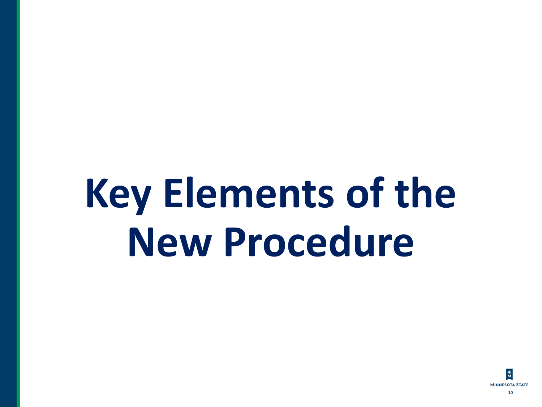# **Key Elements of the New Procedure**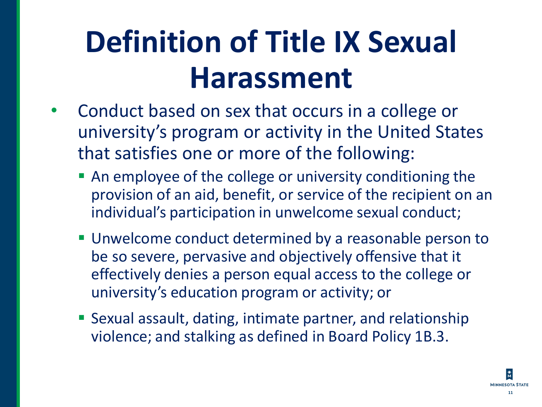### **Definition of Title IX Sexual Harassment**

- Conduct based on sex that occurs in a college or university's program or activity in the United States that satisfies one or more of the following:
	- An employee of the college or university conditioning the provision of an aid, benefit, or service of the recipient on an individual's participation in unwelcome sexual conduct;
	- **Unwelcome conduct determined by a reasonable person to** be so severe, pervasive and objectively offensive that it effectively denies a person equal access to the college or university's education program or activity; or
	- **E** Sexual assault, dating, intimate partner, and relationship violence; and stalking as defined in Board Policy 1B.3.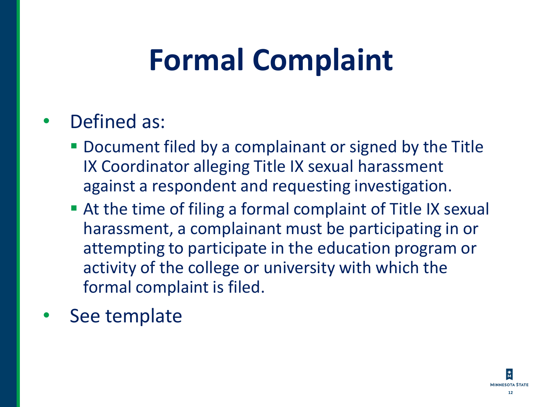### **Formal Complaint**

#### Defined as:

- Document filed by a complainant or signed by the Title IX Coordinator alleging Title IX sexual harassment against a respondent and requesting investigation.
- At the time of filing a formal complaint of Title IX sexual harassment, a complainant must be participating in or attempting to participate in the education program or activity of the college or university with which the formal complaint is filed.
- See template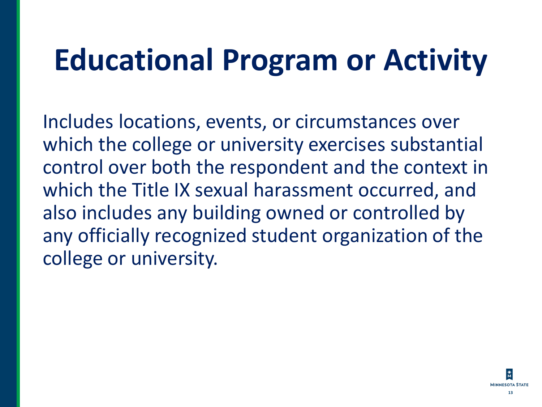### **Educational Program or Activity**

Includes locations, events, or circumstances over which the college or university exercises substantial control over both the respondent and the context in which the Title IX sexual harassment occurred, and also includes any building owned or controlled by any officially recognized student organization of the college or university.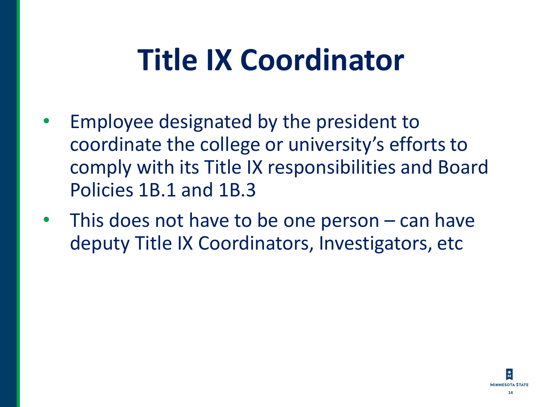### **Title IX Coordinator**

- Employee designated by the president to coordinate the college or university's efforts to comply with its Title IX responsibilities and Board Policies 1B.1 and 1B.3
- This does not have to be one person can have deputy Title IX Coordinators, Investigators, etc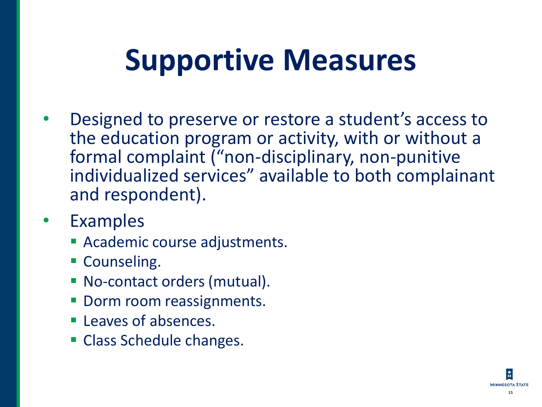### **Supportive Measures**

- Designed to preserve or restore a student's access to the education program or activity, with or without a formal complaint ("non-disciplinary, non-punitive individualized services" available to both complainant and respondent).
- **Examples** 
	- **EXACADEMIC COULTS ACADEMIC ACADEMIC PLACE TO A LITTLE TEAM**
	- **E** Counseling.
	- No-contact orders (mutual).
	- Dorm room reassignments.
	- **E** Leaves of absences.
	- Class Schedule changes.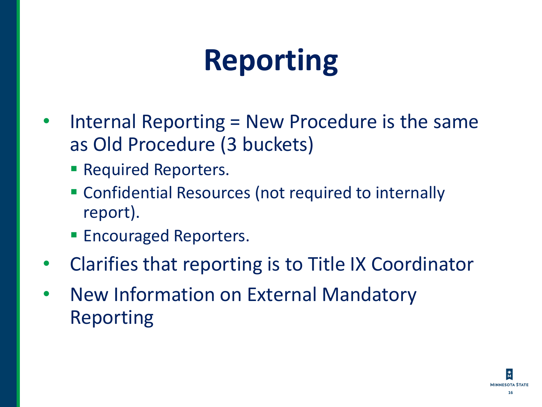## **Reporting**

- Internal Reporting = New Procedure is the same as Old Procedure (3 buckets)
	- **Required Reporters.**
	- **EX Confidential Resources (not required to internally** report).
	- **Encouraged Reporters.**
- Clarifies that reporting is to Title IX Coordinator
- New Information on External Mandatory Reporting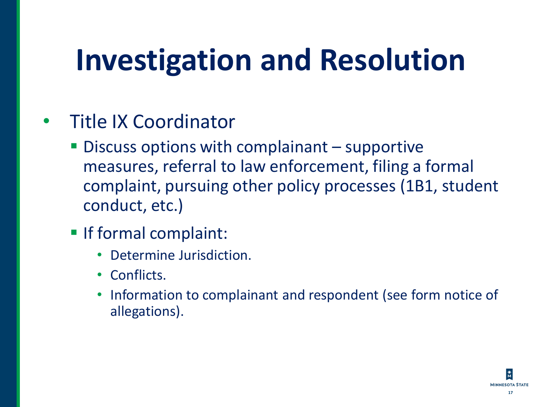### **Investigation and Resolution**

- Title IX Coordinator
	- **Discuss options with complainant supportive** measures, referral to law enforcement, filing a formal complaint, pursuing other policy processes (1B1, student conduct, etc.)
	- If formal complaint:
		- Determine Jurisdiction.
		- Conflicts.
		- Information to complainant and respondent (see form notice of allegations).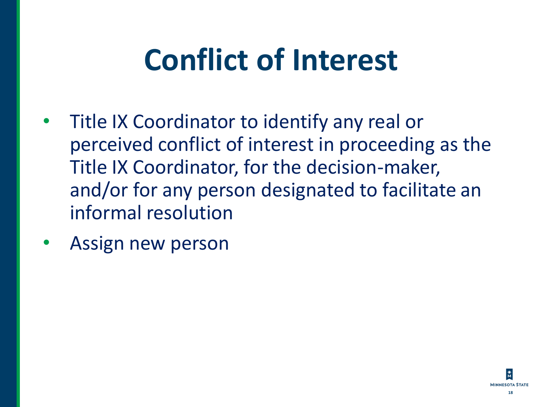### **Conflict of Interest**

- Title IX Coordinator to identify any real or perceived conflict of interest in proceeding as the Title IX Coordinator, for the decision-maker, and/or for any person designated to facilitate an informal resolution
- Assign new person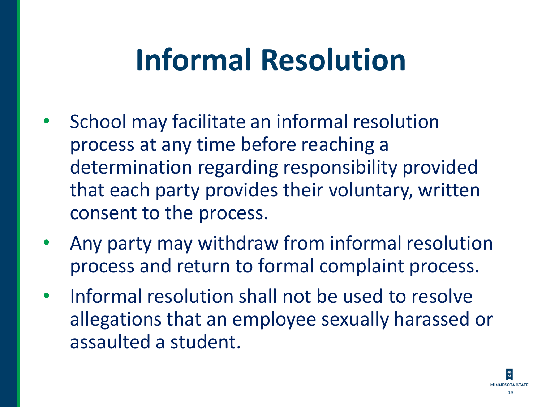### **Informal Resolution**

- School may facilitate an informal resolution process at any time before reaching a determination regarding responsibility provided that each party provides their voluntary, written consent to the process.
- Any party may withdraw from informal resolution process and return to formal complaint process.
- Informal resolution shall not be used to resolve allegations that an employee sexually harassed or assaulted a student.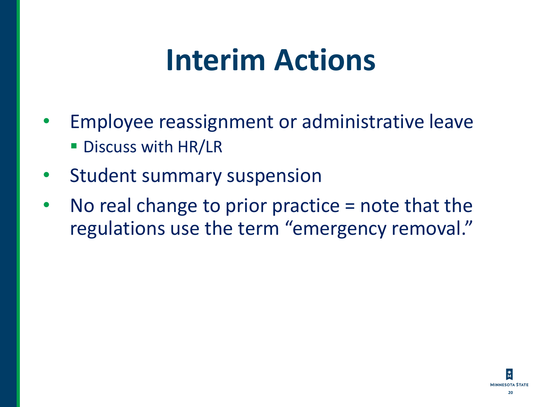#### **Interim Actions**

- Employee reassignment or administrative leave **· Discuss with HR/LR**
- Student summary suspension
- No real change to prior practice  $=$  note that the regulations use the term "emergency removal."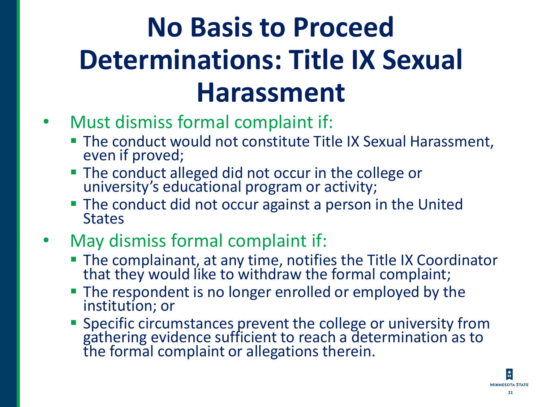#### **No Basis to Proceed Determinations: Title IX Sexual Harassment**

- Must dismiss formal complaint if:
	- **The conduct would not constitute Title IX Sexual Harassment,** even if proved;
	- **The conduct alleged did not occur in the college or** university's educational program or activity;
	- **The conduct did not occur against a person in the United States**
- May dismiss formal complaint if:
	- **The complainant, at any time, notifies the Title IX Coordinator** that they would like to withdraw the formal complaint;
	- **The respondent is no longer enrolled or employed by the** institution; or
	- **EXPECIFIC Specific circumstances prevent the college or university from** gathering evidence sufficient to reach a determination as to the formal complaint or allegations therein.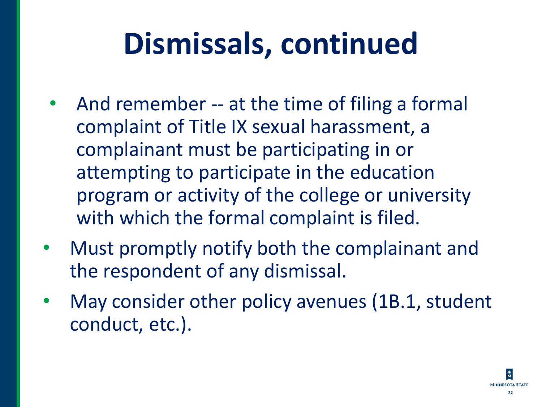# **Dismissals, continued**

- And remember -- at the time of filing a formal complaint of Title IX sexual harassment, a complainant must be participating in or attempting to participate in the education program or activity of the college or university with which the formal complaint is filed.
- Must promptly notify both the complainant and the respondent of any dismissal.
- May consider other policy avenues (1B.1, student conduct, etc.).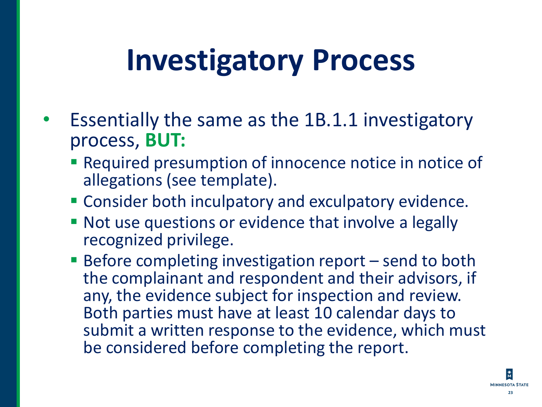#### **Investigatory Process**

- Essentially the same as the 1B.1.1 investigatory process, **BUT:**
	- **EXEQUE A** Presumption of innocence notice in notice of allegations (see template).
	- **EX Consider both inculpatory and exculpatory evidence.**
	- Not use questions or evidence that involve a legally recognized privilege.
	- $\blacksquare$  Before completing investigation report  $-$  send to both the complainant and respondent and their advisors, if any, the evidence subject for inspection and review. Both parties must have at least 10 calendar days to submit a written response to the evidence, which must be considered before completing the report.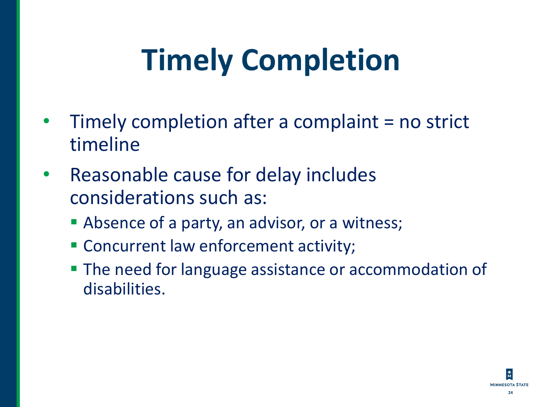# **Timely Completion**

- Timely completion after a complaint = no strict timeline
- Reasonable cause for delay includes considerations such as:
	- **EX Absence of a party, an advisor, or a witness;**
	- **EX Concurrent law enforcement activity;**
	- **The need for language assistance or accommodation of** disabilities.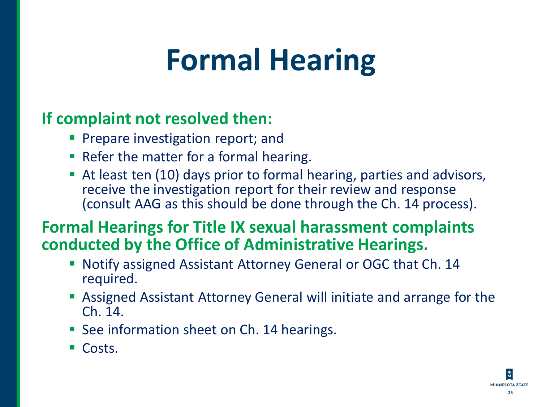#### **Formal Hearing**

#### **If complaint not resolved then:**

- **Prepare investigation report; and**
- Refer the matter for a formal hearing.
- At least ten (10) days prior to formal hearing, parties and advisors, receive the investigation report for their review and response (consult AAG as this should be done through the Ch. 14 process).

#### **Formal Hearings for Title IX sexual harassment complaints conducted by the Office of Administrative Hearings.**

- Notify assigned Assistant Attorney General or OGC that Ch. 14 required.
- **EX Assigned Assistant Attorney General will initiate and arrange for the** Ch. 14.
- See information sheet on Ch. 14 hearings.
- Costs.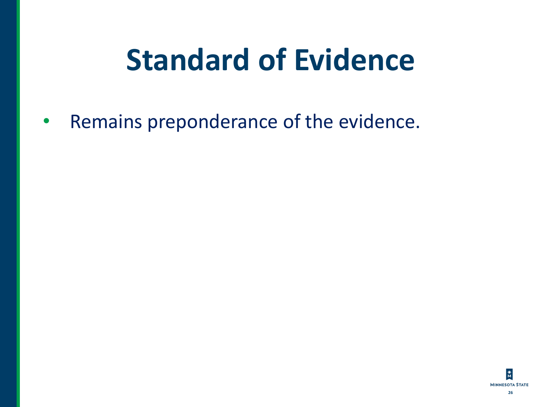### **Standard of Evidence**

• Remains preponderance of the evidence.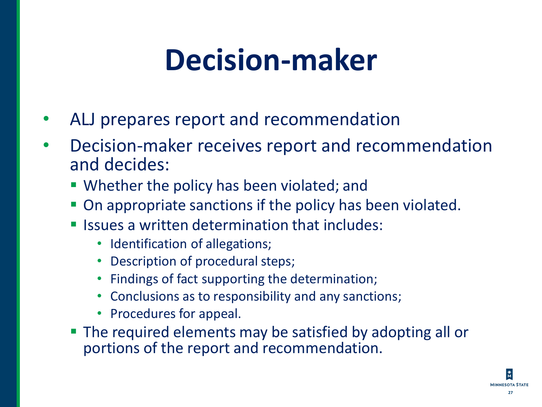#### **Decision-maker**

- ALJ prepares report and recommendation
- Decision-maker receives report and recommendation and decides:
	- **Whether the policy has been violated; and**
	- On appropriate sanctions if the policy has been violated.
	- Issues a written determination that includes:
		- Identification of allegations;
		- Description of procedural steps;
		- Findings of fact supporting the determination;
		- Conclusions as to responsibility and any sanctions;
		- Procedures for appeal.
	- **The required elements may be satisfied by adopting all or** portions of the report and recommendation.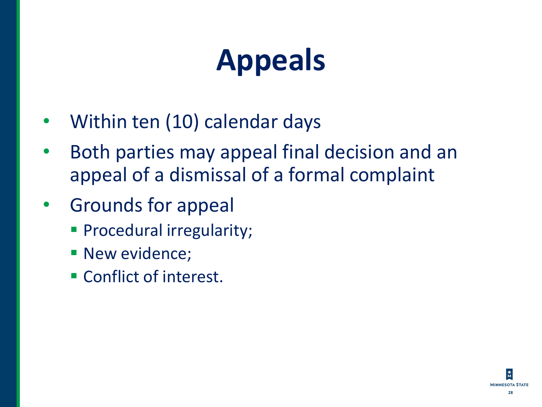# **Appeals**

- Within ten (10) calendar days
- Both parties may appeal final decision and an appeal of a dismissal of a formal complaint
- Grounds for appeal
	- **Procedural irregularity;**
	- **E** New evidence;
	- **EXECONFRACT CONFIDENCE**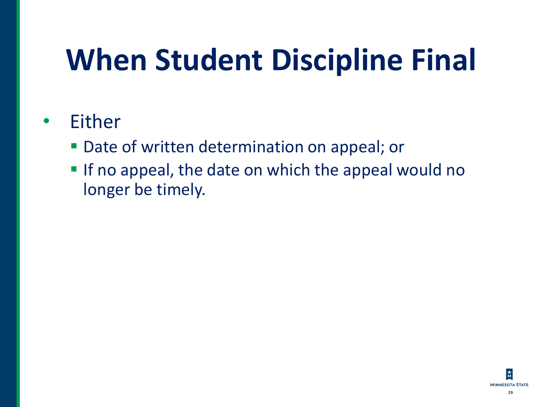# **When Student Discipline Final**

#### **Either**

- Date of written determination on appeal; or
- **If no appeal, the date on which the appeal would no** longer be timely.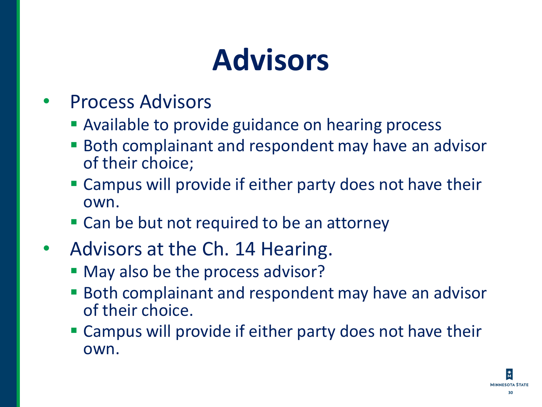### **Advisors**

- Process Advisors
	- **EXAVAGOE CONTEGHT AVAILABLE 10 Process**
	- **Both complainant and respondent may have an advisor** of their choice;
	- **Exampus will provide if either party does not have their** own.
	- Can be but not required to be an attorney
- Advisors at the Ch. 14 Hearing.
	- May also be the process advisor?
	- **Both complainant and respondent may have an advisor** of their choice.
	- **Example 5 Updia Computed State is example to Compute 10 Female 10 Female 10 Female 10 Female 10 Female 10 Female 10 Female 10 Female 10 Female 10 Female 10 Female 10 Female 10 Female 10 Female 10 Female 10 Female 10 Femal** own.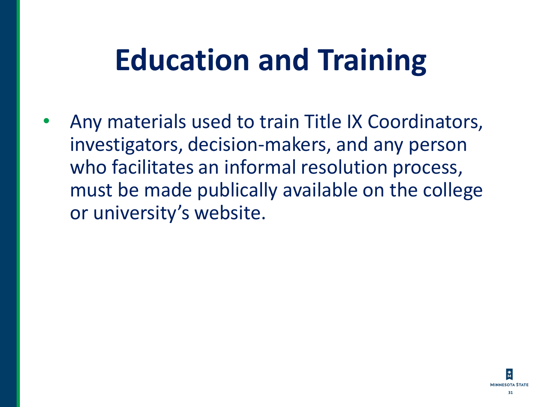### **Education and Training**

• Any materials used to train Title IX Coordinators, investigators, decision-makers, and any person who facilitates an informal resolution process, must be made publically available on the college or university's website.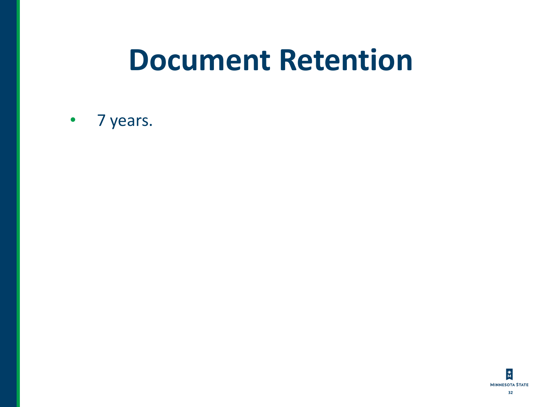#### **Document Retention**

#### • 7 years.

 $\frac{*}{M}$ **MINNESOTA STATE 32**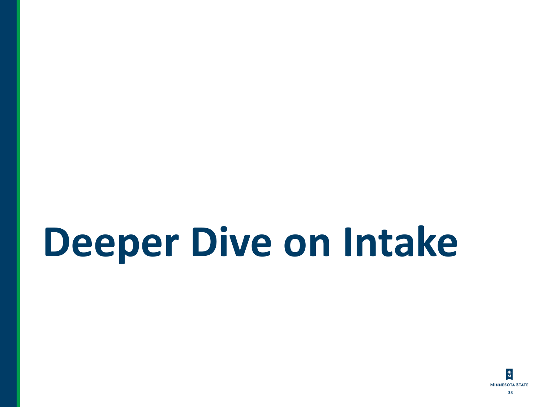# **Deeper Dive on Intake**

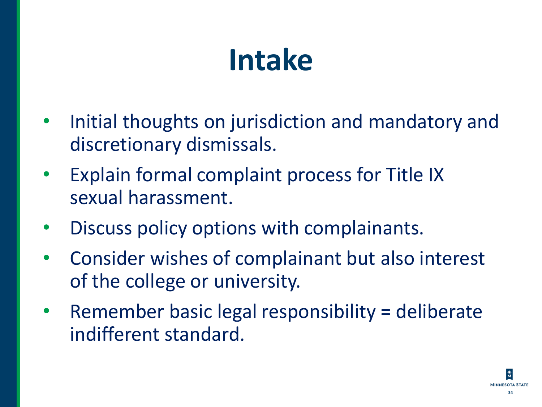### **Intake**

- Initial thoughts on jurisdiction and mandatory and discretionary dismissals.
- Explain formal complaint process for Title IX sexual harassment.
- Discuss policy options with complainants.
- Consider wishes of complainant but also interest of the college or university.
- Remember basic legal responsibility = deliberate indifferent standard.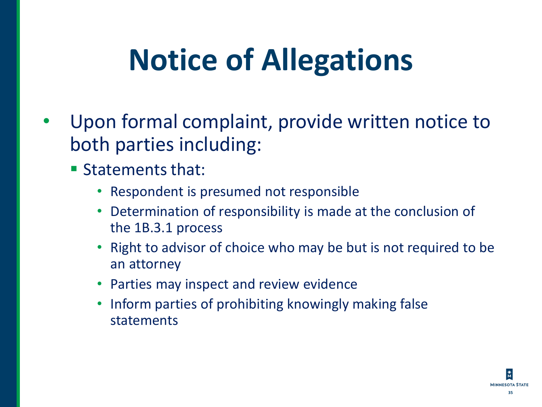# **Notice of Allegations**

- Upon formal complaint, provide written notice to both parties including:
	- Statements that:
		- Respondent is presumed not responsible
		- Determination of responsibility is made at the conclusion of the 1B.3.1 process
		- Right to advisor of choice who may be but is not required to be an attorney
		- Parties may inspect and review evidence
		- Inform parties of prohibiting knowingly making false statements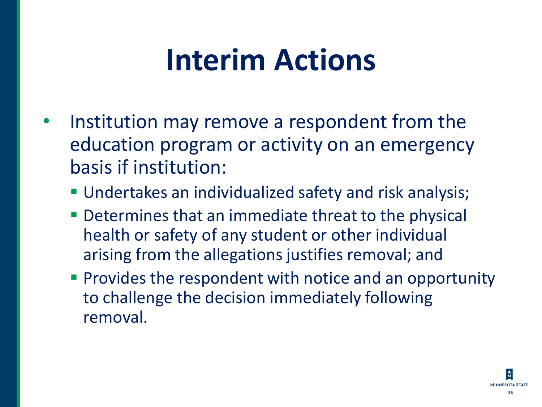#### **Interim Actions**

- Institution may remove a respondent from the education program or activity on an emergency basis if institution:
	- **Undertakes an individualized safety and risk analysis;**
	- **Determines that an immediate threat to the physical** health or safety of any student or other individual arising from the allegations justifies removal; and
	- **Provides the respondent with notice and an opportunity** to challenge the decision immediately following removal.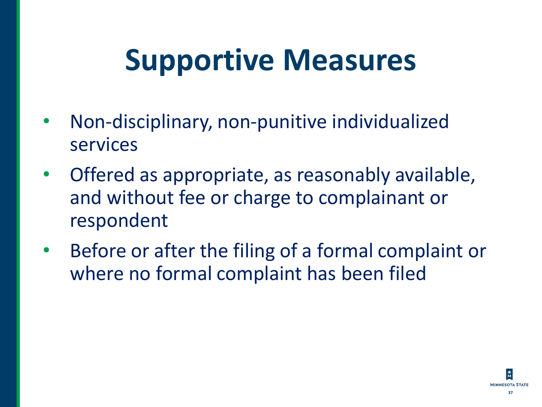### **Supportive Measures**

- Non-disciplinary, non-punitive individualized services
- Offered as appropriate, as reasonably available, and without fee or charge to complainant or respondent
- Before or after the filing of a formal complaint or where no formal complaint has been filed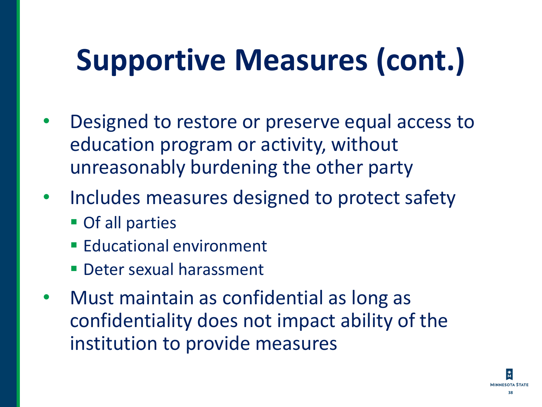# **Supportive Measures (cont.)**

- Designed to restore or preserve equal access to education program or activity, without unreasonably burdening the other party
- Includes measures designed to protect safety
	- **Of all parties**
	- **Educational environment**
	- **Deter sexual harassment**
- Must maintain as confidential as long as confidentiality does not impact ability of the institution to provide measures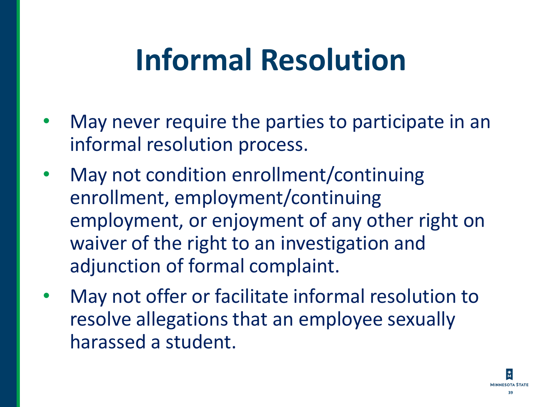### **Informal Resolution**

- May never require the parties to participate in an informal resolution process.
- May not condition enrollment/continuing enrollment, employment/continuing employment, or enjoyment of any other right on waiver of the right to an investigation and adjunction of formal complaint.
- May not offer or facilitate informal resolution to resolve allegations that an employee sexually harassed a student.

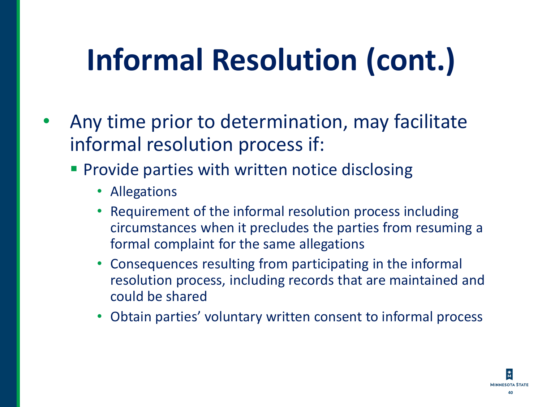# **Informal Resolution (cont.)**

- Any time prior to determination, may facilitate informal resolution process if:
	- **Provide parties with written notice disclosing** 
		- Allegations
		- Requirement of the informal resolution process including circumstances when it precludes the parties from resuming a formal complaint for the same allegations
		- Consequences resulting from participating in the informal resolution process, including records that are maintained and could be shared
		- Obtain parties' voluntary written consent to informal process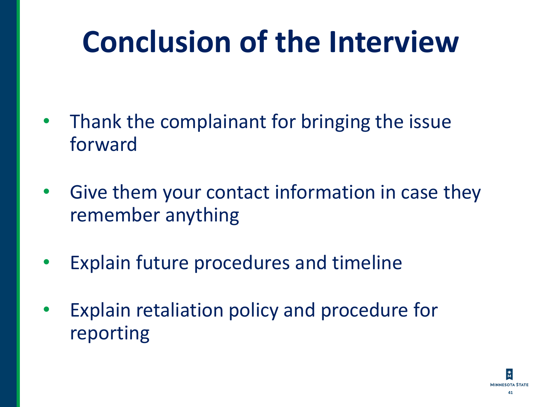# **Conclusion of the Interview**

- Thank the complainant for bringing the issue forward
- Give them your contact information in case they remember anything
- Explain future procedures and timeline
- Explain retaliation policy and procedure for reporting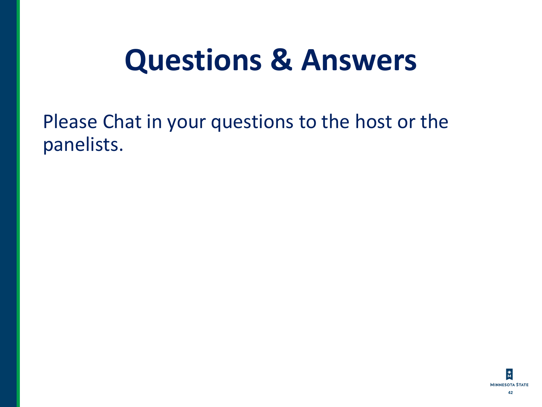#### **Questions & Answers**

Please Chat in your questions to the host or the panelists.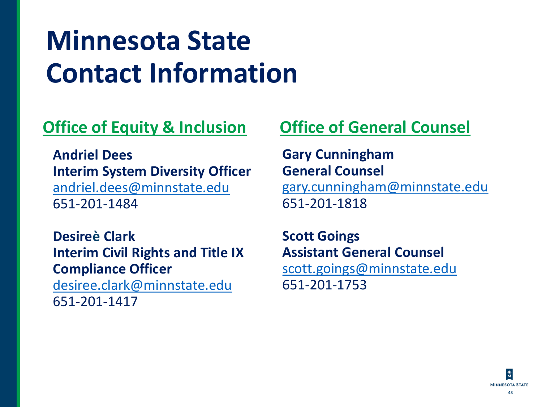#### **Minnesota State Contact Information**

#### **Office of Equity & Inclusion**

**Andriel Dees Interim System Diversity Officer** [andriel.dees@minnstate.edu](mailto:andriel.dees@minnstate.edu) 651-201-1484

**Desireè Clark Interim Civil Rights and Title IX Compliance Officer**

[desiree.clark@minnstate.edu](mailto:desiree.clark@minnstate.edu) 651-201-1417

#### **Office of General Counsel**

**Gary Cunningham General Counsel** [gary.cunningham@minnstate.edu](mailto:gary.cunningham@minnstate.edu) 651-201-1818

**Scott Goings Assistant General Counsel** [scott.goings@minnstate.edu](mailto:scott.goings@minnstate.edu) 651-201-1753